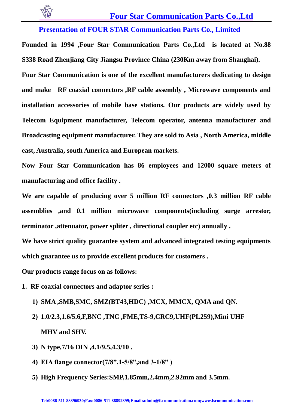

# **Four Star Communication Parts Co.,Ltd**

**Presentation of FOUR STAR Communication Parts Co., Limited** 

**Founded in 1994 ,Four Star Communication Parts Co.,Ltd is located at No.88 S338 Road Zhenjiang City Jiangsu Province China (230Km away from Shanghai).** 

**Four Star Communication is one of the excellent manufacturers dedicating to design and make RF coaxial connectors ,RF cable assembly , Microwave components and installation accessories of mobile base stations. Our products are widely used by Telecom Equipment manufacturer, Telecom operator, antenna manufacturer and Broadcasting equipment manufacturer. They are sold to Asia , North America, middle east, Australia, south America and European markets.** 

**Now Four Star Communication has 86 employees and 12000 square meters of manufacturing and office facility .**

**We are capable of producing over 5 million RF connectors ,0.3 million RF cable assemblies ,and 0.1 million microwave components(including surge arrestor, terminator ,attenuator, power spliter , directional coupler etc) annually .** 

**We have strict quality guarantee system and advanced integrated testing equipments which guarantee us to provide excellent products for customers .** 

**Our products range focus on as follows:**

- **1. RF coaxial connectors and adaptor series :** 
	- **1) SMA ,SMB,SMC, SMZ(BT43,HDC) ,MCX, MMCX, QMA and QN.**
	- **2) 1.0/2.3,1.6/5.6,F,BNC ,TNC ,FME,TS-9,CRC9,UHF(PL259),Mini UHF MHV and SHV.**
	- **3) N type,7/16 DIN ,4.1/9.5,4.3/10 .**
	- **4) EIA flange connector(7/8",1-5/8",and 3-1/8" )**
	- **5) High Frequency Series:SMP,1.85mm,2.4mm,2.92mm and 3.5mm.**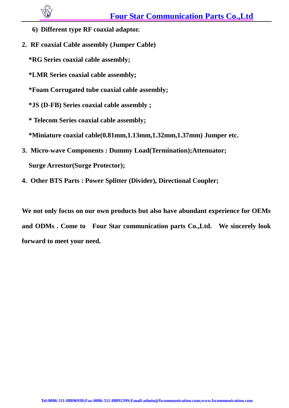- **6) Different type RF coaxial adaptor.**
- **2. RF coaxial Cable assembly (Jumper Cable)**

**\*RG Series coaxial cable assembly;**

- **\*LMR Series coaxial cable assembly;**
- **\*Foam Corrugated tube coaxial cable assembly;**

**\*JS (D-FB) Series coaxial cable assembly ;**

**\* Telecom Series coaxial cable assembly;** 

**\*Miniature coaxial cable(0.81mm,1.13mm,1.32mm,1.37mm) Jumper etc.**

- **3. Micro-wave Components : Dummy Load(Termination);Attenuator; Surge Arrestor(Surge Protector);**
- **4. Other BTS Parts : Power Splitter (Divider), Directional Coupler;**

**We not only focus on our own products but also have abundant experience for OEMs and ODMs . Come to Four Star communication parts Co.,Ltd. We sincerely look forward to meet your need.**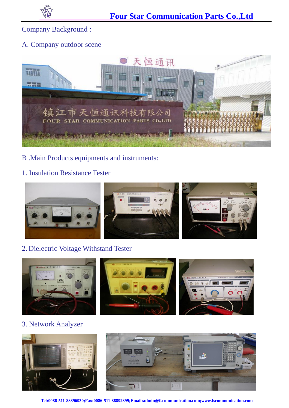

Company Background :

#### A. Company outdoor scene



B .Main Products equipments and instruments:

## 1. Insulation Resistance Tester



### 2. Dielectric Voltage Withstand Tester



3. Network Analyzer



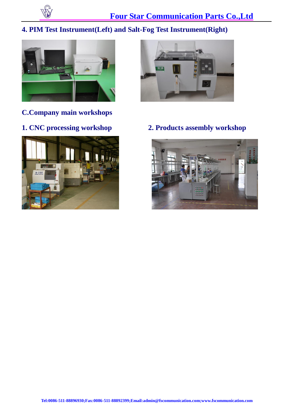

# **4. PIM Test Instrument(Left) and Salt-Fog Test Instrument(Right)**



**C.Company main workshops**





**1. CNC processing workshop 2. Products assembly workshop**

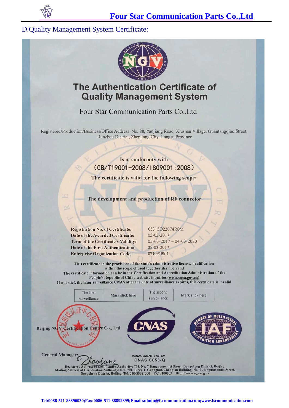

#### **D.Ouality Management System Certificate:**



# **The Authentication Certificate of Quality Management System**

# Four Star Communication Parts Co., Ltd

Registered/Production/Business/Office Address: No. 88, Yanjiang Road, Xiushan Village, Guantangqiao Street, Runzhou District, Zhenjiang City, Jiangsu Province.

#### Is in conformity with (GB/T19001-2008/IS09001:2008)

The certificate is valid for the following scope:

The development and production of RF connector

**Registration No. of Certificate:** Date of the Awarded Certificate: Term of the Certificate's Validity: Date of the First Authentication: **Enterprise Organization Code:** 

05315Q22074R0M 05-03-2017  $05 - 03 - 2017 - 04 - 03 - 2020$ 05-03-2017 07109185-1

This certificate in the provisions of the state's administrative license, qualification within the scope of used together shall be valid The certificate information can be in the Certification and Accreditation Administration of the People's Republic of China web site inquiries (www.cnca.gov.cn)

If not stick the laser surveillance CNAS after the date of surveillance expires, this certificate is invalid